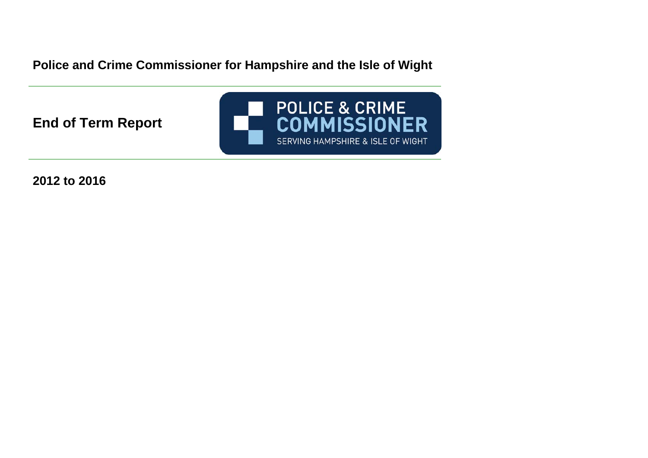**Police and Crime Commissioner for Hampshire and the Isle of Wight** 

**End of Term Report** 



**2012 to 2016**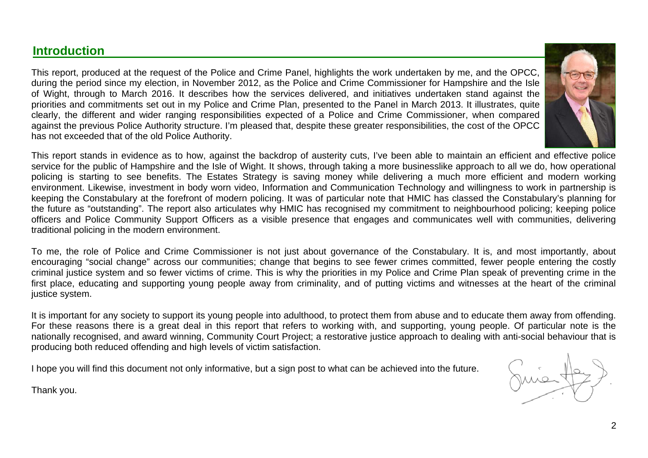# **Introduction**

This report, produced at the request of the Police and Crime Panel, highlights the work undertaken by me, and the OPCC, during the period since my election, in November 2012, as the Police and Crime Commissioner for Hampshire and the Isle of Wight, through to March 2016. It describes how the services delivered, and initiatives undertaken stand against the priorities and commitments set out in my Police and Crime Plan, presented to the Panel in March 2013. It illustrates, quite clearly, the different and wider ranging responsibilities expected of a Police and Crime Commissioner, when compared against the previous Police Authority structure. I'm pleased that, despite these greater responsibilities, the cost of the OPCC has not exceeded that of the old Police Authority.



This report stands in evidence as to how, against the backdrop of austerity cuts, I've been able to maintain an efficient and effective police service for the public of Hampshire and the Isle of Wight. It shows, through taking a more businesslike approach to all we do, how operational policing is starting to see benefits. The Estates Strategy is saving money while delivering a much more efficient and modern working environment. Likewise, investment in body worn video, Information and Communication Technology and willingness to work in partnership is keeping the Constabulary at the forefront of modern policing. It was of particular note that HMIC has classed the Constabulary's planning for the future as "outstanding". The report also articulates why HMIC has recognised my commitment to neighbourhood policing; keeping police officers and Police Community Support Officers as a visible presence that engages and communicates well with communities, delivering traditional policing in the modern environment.

To me, the role of Police and Crime Commissioner is not just about governance of the Constabulary. It is, and most importantly, about encouraging "social change" across our communities; change that begins to see fewer crimes committed, fewer people entering the costly criminal justice system and so fewer victims of crime. This is why the priorities in my Police and Crime Plan speak of preventing crime in the first place, educating and supporting young people away from criminality, and of putting victims and witnesses at the heart of the criminal justice system.

It is important for any society to support its young people into adulthood, to protect them from abuse and to educate them away from offending. For these reasons there is a great deal in this report that refers to working with, and supporting, young people. Of particular note is the nationally recognised, and award winning, Community Court Project; a restorative justice approach to dealing with anti-social behaviour that is producing both reduced offending and high levels of victim satisfaction.

I hope you will find this document not only informative, but a sign post to what can be achieved into the future.

Thank you.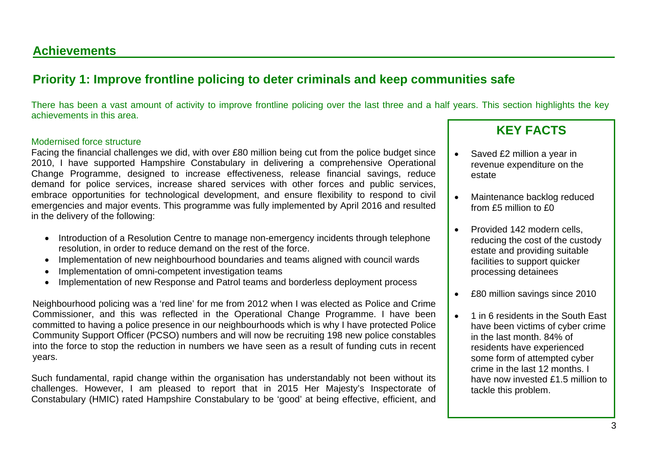### **Achievements**

# **Priority 1: Improve frontline policing to deter criminals and keep communities safe**

There has been a vast amount of activity to improve frontline policing over the last three and a half years. This section highlights the key achievements in this area.

#### Modernised force structure

Facing the financial challenges we did, with over £80 million being cut from the police budget since 2010, I have supported Hampshire Constabulary in delivering a comprehensive Operational Change Programme, designed to increase effectiveness, release financial savings, reduce demand for police services, increase shared services with other forces and public services, embrace opportunities for technological development, and ensure flexibility to respond to civil emergencies and major events. This programme was fully implemented by April 2016 and resulted in the delivery of the following:

- Introduction of a Resolution Centre to manage non-emergency incidents through telephone resolution, in order to reduce demand on the rest of the force.
- Implementation of new neighbourhood boundaries and teams aligned with council wards
- Implementation of omni-competent investigation teams
- Implementation of new Response and Patrol teams and borderless deployment process

Neighbourhood policing was a 'red line' for me from 2012 when I was elected as Police and Crime Commissioner, and this was reflected in the Operational Change Programme. I have been committed to having a police presence in our neighbourhoods which is why I have protected Police Community Support Officer (PCSO) numbers and will now be recruiting 198 new police constables into the force to stop the reduction in numbers we have seen as a result of funding cuts in recent years.

Such fundamental, rapid change within the organisation has understandably not been without its challenges. However, I am pleased to report that in 2015 Her Majesty's Inspectorate of Constabulary (HMIC) rated Hampshire Constabulary to be 'good' at being effective, efficient, and

- Saved £2 million a year in revenue expenditure on the estate
- Maintenance backlog reduced from £5 million to £0
- Provided 142 modern cells, reducing the cost of the custody estate and providing suitable facilities to support quicker processing detainees
- £80 million savings since 2010
- 1 in 6 residents in the South East have been victims of cyber crime in the last month. 84% of residents have experienced some form of attempted cyber crime in the last 12 months. I have now invested £1.5 million to tackle this problem.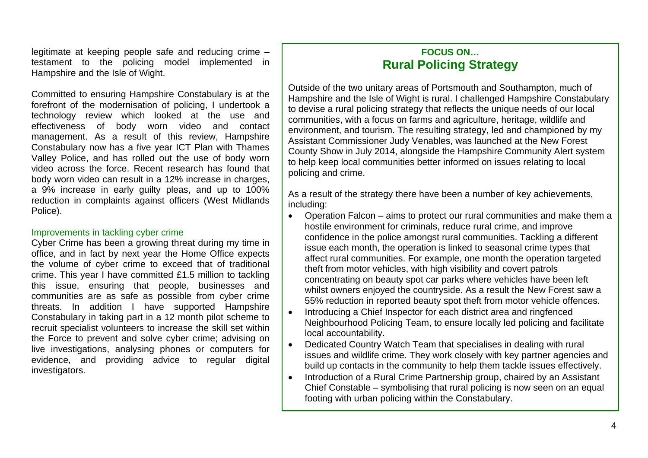legitimate at keeping people safe and reducing crime  $$ testament to the policing model implemented in Hampshire and the Isle of Wight.

Committed to ensuring Hampshire Constabulary is at the forefront of the modernisation of policing, I undertook a technology review which looked at the use and effectiveness of body worn video and contact management. As a result of this review, Hampshire Constabulary now has a five year ICT Plan with Thames Valley Police, and has rolled out the use of body worn video across the force. Recent research has found that body worn video can result in a 12% increase in charges, a 9% increase in early guilty pleas, and up to 100% reduction in complaints against officers (West Midlands Police).

#### Improvements in tackling cyber crime

Cyber Crime has been a growing threat during my time in office, and in fact by next year the Home Office expects the volume of cyber crime to exceed that of traditional crime. This year I have committed £1.5 million to tackling this issue, ensuring that people, businesses and communities are as safe as possible from cyber crime threats. In addition I have supported Hampshire Constabulary in taking part in a 12 month pilot scheme to recruit specialist volunteers to increase the skill set within the Force to prevent and solve cyber crime; advising on live investigations, analysing phones or computers for evidence, and providing advice to regular digital investigators.

### **FOCUS ON… Rural Policing Strategy**

Outside of the two unitary areas of Portsmouth and Southampton, much of Hampshire and the Isle of Wight is rural. I challenged Hampshire Constabulary to devise a rural policing strategy that reflects the unique needs of our local communities, with a focus on farms and agriculture, heritage, wildlife and environment, and tourism. The resulting strategy, led and championed by my Assistant Commissioner Judy Venables, was launched at the New Forest County Show in July 2014, alongside the Hampshire Community Alert system to help keep local communities better informed on issues relating to local policing and crime.

As a result of the strategy there have been a number of key achievements, including:

- Operation Falcon aims to protect our rural communities and make them a hostile environment for criminals, reduce rural crime, and improve confidence in the police amongst rural communities. Tackling a different issue each month, the operation is linked to seasonal crime types that affect rural communities. For example, one month the operation targeted theft from motor vehicles, with high visibility and covert patrols concentrating on beauty spot car parks where vehicles have been left whilst owners enjoyed the countryside. As a result the New Forest saw a 55% reduction in reported beauty spot theft from motor vehicle offences.
- Introducing a Chief Inspector for each district area and ringfenced Neighbourhood Policing Team, to ensure locally led policing and facilitate local accountability.
- Dedicated Country Watch Team that specialises in dealing with rural issues and wildlife crime. They work closely with key partner agencies and build up contacts in the community to help them tackle issues effectively.
- Introduction of a Rural Crime Partnership group, chaired by an Assistant Chief Constable – symbolising that rural policing is now seen on an equal footing with urban policing within the Constabulary.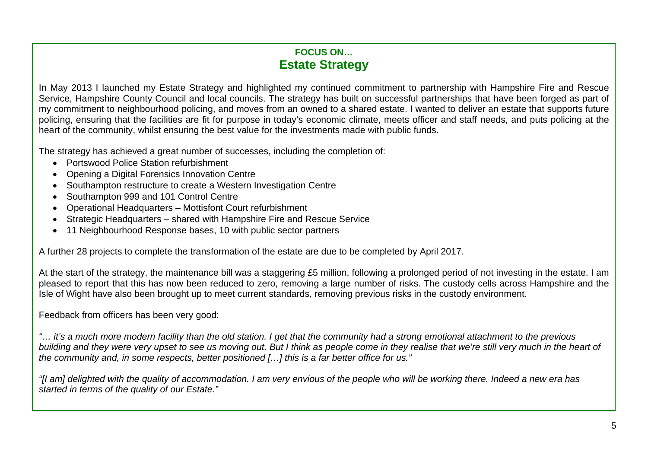### **FOCUS ON… Estate Strategy**

In May 2013 I launched my Estate Strategy and highlighted my continued commitment to partnership with Hampshire Fire and Rescue Service, Hampshire County Council and local councils. The strategy has built on successful partnerships that have been forged as part of my commitment to neighbourhood policing, and moves from an owned to a shared estate. I wanted to deliver an estate that supports future policing, ensuring that the facilities are fit for purpose in today's economic climate, meets officer and staff needs, and puts policing at the heart of the community, whilst ensuring the best value for the investments made with public funds.

The strategy has achieved a great number of successes, including the completion of:

- Portswood Police Station refurbishment
- Opening a Digital Forensics Innovation Centre
- Southampton restructure to create a Western Investigation Centre
- Southampton 999 and 101 Control Centre
- Operational Headquarters Mottisfont Court refurbishment
- Strategic Headquarters shared with Hampshire Fire and Rescue Service
- 11 Neighbourhood Response bases, 10 with public sector partners

A further 28 projects to complete the transformation of the estate are due to be completed by April 2017.

At the start of the strategy, the maintenance bill was a staggering £5 million, following a prolonged period of not investing in the estate. I am pleased to report that this has now been reduced to zero, removing a large number of risks. The custody cells across Hampshire and the Isle of Wight have also been brought up to meet current standards, removing previous risks in the custody environment.

Feedback from officers has been very good:

*"… it's a much more modern facility than the old station. I get that the community had a strong emotional attachment to the previous building and they were very upset to see us moving out. But I think as people come in they realise that we're still very much in the heart of the community and, in some respects, better positioned […] this is a far better office for us."* 

*"[I am] delighted with the quality of accommodation. I am very envious of the people who will be working there. Indeed a new era has started in terms of the quality of our Estate."*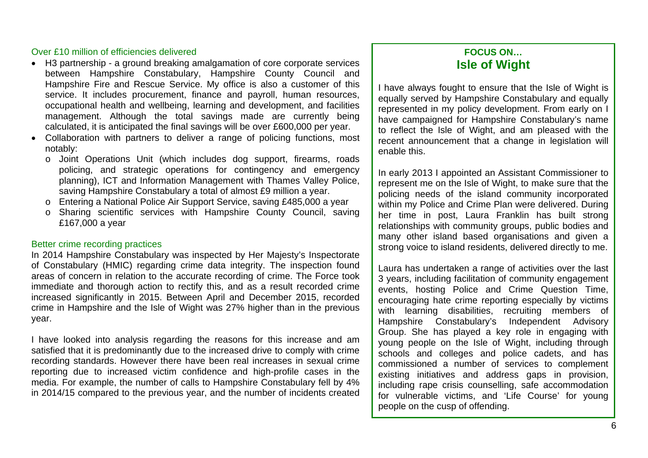#### Over £10 million of efficiencies delivered

- H3 partnership a ground breaking amalgamation of core corporate services between Hampshire Constabulary, Hampshire County Council and Hampshire Fire and Rescue Service. My office is also a customer of this service. It includes procurement, finance and payroll, human resources, occupational health and wellbeing, learning and development, and facilities management. Although the total savings made are currently being calculated, it is anticipated the final savings will be over £600,000 per year.
- Collaboration with partners to deliver a range of policing functions, most notably:
	- <sup>o</sup> Joint Operations Unit (which includes dog support, firearms, roads policing, and strategic operations for contingency and emergency planning), ICT and Information Management with Thames Valley Police, saving Hampshire Constabulary a total of almost £9 million a year.
	- <sup>o</sup> Entering a National Police Air Support Service, saving £485,000 a year
	- <sup>o</sup> Sharing scientific services with Hampshire County Council, saving £167,000 a year

#### Better crime recording practices

In 2014 Hampshire Constabulary was inspected by Her Majesty's Inspectorate of Constabulary (HMIC) regarding crime data integrity. The inspection found areas of concern in relation to the accurate recording of crime. The Force took immediate and thorough action to rectify this, and as a result recorded crime increased significantly in 2015. Between April and December 2015, recorded crime in Hampshire and the Isle of Wight was 27% higher than in the previous year.

I have looked into analysis regarding the reasons for this increase and am satisfied that it is predominantly due to the increased drive to comply with crime recording standards. However there have been real increases in sexual crime reporting due to increased victim confidence and high-profile cases in the media. For example, the number of calls to Hampshire Constabulary fell by 4% in 2014/15 compared to the previous year, and the number of incidents created

### **FOCUS ON… Isle of Wight**

I have always fought to ensure that the Isle of Wight is equally served by Hampshire Constabulary and equally represented in my policy development. From early on I have campaigned for Hampshire Constabulary's name to reflect the Isle of Wight, and am pleased with the recent announcement that a change in legislation will enable this.

In early 2013 I appointed an Assistant Commissioner to represent me on the Isle of Wight, to make sure that the policing needs of the island community incorporated within my Police and Crime Plan were delivered. During her time in post, Laura Franklin has built strong relationships with community groups, public bodies and many other island based organisations and given a strong voice to island residents, delivered directly to me.

Laura has undertaken a range of activities over the last 3 years, including facilitation of community engagement events, hosting Police and Crime Question Time, encouraging hate crime reporting especially by victims with learning disabilities, recruiting members of Hampshire Constabulary's Independent Advisory Group. She has played a key role in engaging with young people on the Isle of Wight, including through schools and colleges and police cadets, and has commissioned a number of services to complement existing initiatives and address gaps in provision, including rape crisis counselling, safe accommodation for vulnerable victims, and 'Life Course' for young people on the cusp of offending.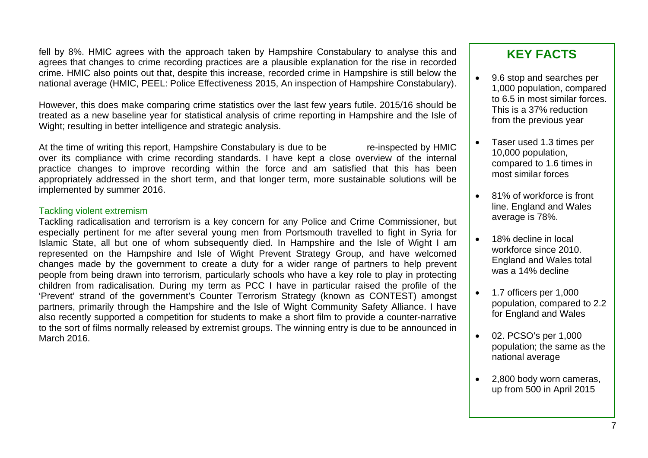fell by 8%. HMIC agrees with the approach taken by Hampshire Constabulary to analyse this and agrees that changes to crime recording practices are a plausible explanation for the rise in recorded crime. HMIC also points out that, despite this increase, recorded crime in Hampshire is still below the national average (HMIC, PEEL: Police Effectiveness 2015, An inspection of Hampshire Constabulary).

However, this does make comparing crime statistics over the last few years futile. 2015/16 should be treated as a new baseline year for statistical analysis of crime reporting in Hampshire and the Isle of Wight; resulting in better intelligence and strategic analysis.

At the time of writing this report, Hampshire Constabulary is due to be re-inspected by HMIC over its compliance with crime recording standards. I have kept a close overview of the internal practice changes to improve recording within the force and am satisfied that this has been appropriately addressed in the short term, and that longer term, more sustainable solutions will be implemented by summer 2016.

#### Tackling violent extremism

Tackling radicalisation and terrorism is a key concern for any Police and Crime Commissioner, but especially pertinent for me after several young men from Portsmouth travelled to fight in Syria for Islamic State, all but one of whom subsequently died. In Hampshire and the Isle of Wight I am represented on the Hampshire and Isle of Wight Prevent Strategy Group, and have welcomed changes made by the government to create a duty for a wider range of partners to help prevent people from being drawn into terrorism, particularly schools who have a key role to play in protecting children from radicalisation. During my term as PCC I have in particular raised the profile of the 'Prevent' strand of the government's Counter Terrorism Strategy (known as CONTEST) amongst partners, primarily through the Hampshire and the Isle of Wight Community Safety Alliance. I have also recently supported a competition for students to make a short film to provide a counter-narrative to the sort of films normally released by extremist groups. The winning entry is due to be announced in March 2016.

- 9.6 stop and searches per 1,000 population, compared to 6.5 in most similar forces. This is a 37% reduction from the previous year
- Taser used 1.3 times per 10,000 population, compared to 1.6 times in most similar forces
- 81% of workforce is front line. England and Wales average is 78%.
- 18% decline in local workforce since 2010. England and Wales total was a 14% decline
- 1.7 officers per 1,000 population, compared to 2.2 for England and Wales
- 02. PCSO's per 1,000 population; the same as the national average
- 2,800 body worn cameras, up from 500 in April 2015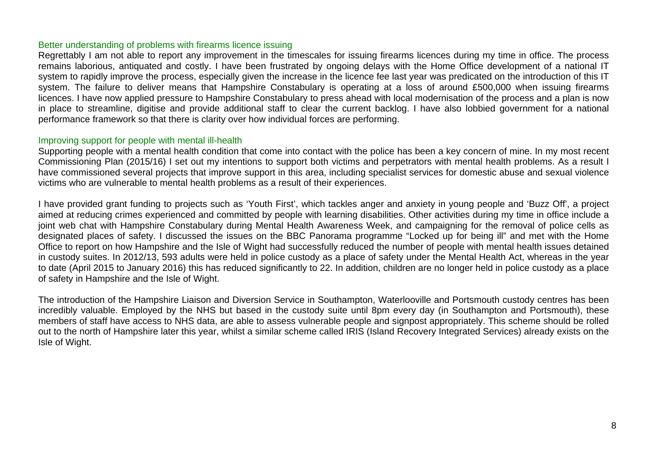#### Better understanding of problems with firearms licence issuing

Regrettably I am not able to report any improvement in the timescales for issuing firearms licences during my time in office. The process remains laborious, antiquated and costly. I have been frustrated by ongoing delays with the Home Office development of a national IT system to rapidly improve the process, especially given the increase in the licence fee last year was predicated on the introduction of this IT system. The failure to deliver means that Hampshire Constabulary is operating at a loss of around £500,000 when issuing firearms licences. I have now applied pressure to Hampshire Constabulary to press ahead with local modernisation of the process and a plan is now in place to streamline, digitise and provide additional staff to clear the current backlog. I have also lobbied government for a national performance framework so that there is clarity over how individual forces are performing.

#### Improving support for people with mental ill-health

Supporting people with a mental health condition that come into contact with the police has been a key concern of mine. In my most recent Commissioning Plan (2015/16) I set out my intentions to support both victims and perpetrators with mental health problems. As a result I have commissioned several projects that improve support in this area, including specialist services for domestic abuse and sexual violence victims who are vulnerable to mental health problems as a result of their experiences.

I have provided grant funding to projects such as 'Youth First', which tackles anger and anxiety in young people and 'Buzz Off', a project aimed at reducing crimes experienced and committed by people with learning disabilities. Other activities during my time in office include a joint web chat with Hampshire Constabulary during Mental Health Awareness Week, and campaigning for the removal of police cells as designated places of safety. I discussed the issues on the BBC Panorama programme "Locked up for being ill" and met with the Home Office to report on how Hampshire and the Isle of Wight had successfully reduced the number of people with mental health issues detained in custody suites. In 2012/13, 593 adults were held in police custody as a place of safety under the Mental Health Act, whereas in the year to date (April 2015 to January 2016) this has reduced significantly to 22. In addition, children are no longer held in police custody as a place of safety in Hampshire and the Isle of Wight.

The introduction of the Hampshire Liaison and Diversion Service in Southampton, Waterlooville and Portsmouth custody centres has been incredibly valuable. Employed by the NHS but based in the custody suite until 8pm every day (in Southampton and Portsmouth), these members of staff have access to NHS data, are able to assess vulnerable people and signpost appropriately. This scheme should be rolled out to the north of Hampshire later this year, whilst a similar scheme called IRIS (Island Recovery Integrated Services) already exists on the Isle of Wight.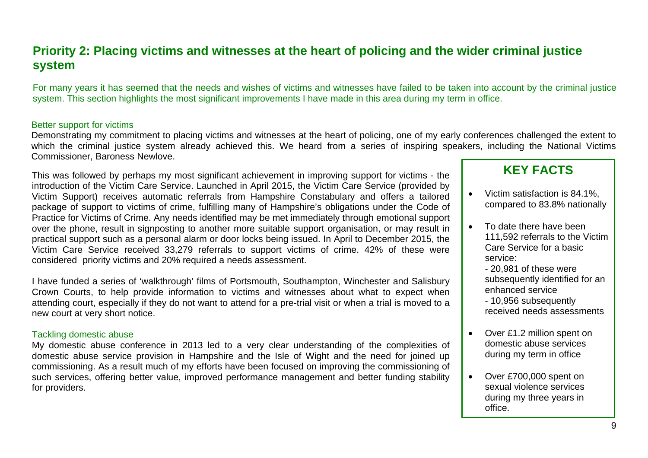# **Priority 2: Placing victims and witnesses at the heart of policing and the wider criminal justice system**

For many years it has seemed that the needs and wishes of victims and witnesses have failed to be taken into account by the criminal justice system. This section highlights the most significant improvements I have made in this area during my term in office.

#### Better support for victims

Demonstrating my commitment to placing victims and witnesses at the heart of policing, one of my early conferences challenged the extent to which the criminal justice system already achieved this. We heard from a series of inspiring speakers, including the National Victims Commissioner, Baroness Newlove.

This was followed by perhaps my most significant achievement in improving support for victims - the introduction of the Victim Care Service. Launched in April 2015, the Victim Care Service (provided by Victim Support) receives automatic referrals from Hampshire Constabulary and offers a tailored package of support to victims of crime, fulfilling many of Hampshire's obligations under the Code of Practice for Victims of Crime. Any needs identified may be met immediately through emotional support over the phone, result in signposting to another more suitable support organisation, or may result in practical support such as a personal alarm or door locks being issued. In April to December 2015, the Victim Care Service received 33,279 referrals to support victims of crime. 42% of these were considered priority victims and 20% required a needs assessment.

I have funded a series of 'walkthrough' films of Portsmouth, Southampton, Winchester and Salisbury Crown Courts, to help provide information to victims and witnesses about what to expect when attending court, especially if they do not want to attend for a pre-trial visit or when a trial is moved to a new court at very short notice.

#### Tackling domestic abuse

My domestic abuse conference in 2013 led to a very clear understanding of the complexities of domestic abuse service provision in Hampshire and the Isle of Wight and the need for joined up commissioning. As a result much of my efforts have been focused on improving the commissioning of such services, offering better value, improved performance management and better funding stability for providers.

- Victim satisfaction is 84.1%. compared to 83.8% nationally
- To date there have been 111,592 referrals to the Victim Care Service for a basic service:
	- 20,981 of these were subsequently identified for an enhanced service
	- 10,956 subsequently received needs assessments
- Over £1.2 million spent on domestic abuse services during my term in office
- Over £700,000 spent on sexual violence services during my three years in office.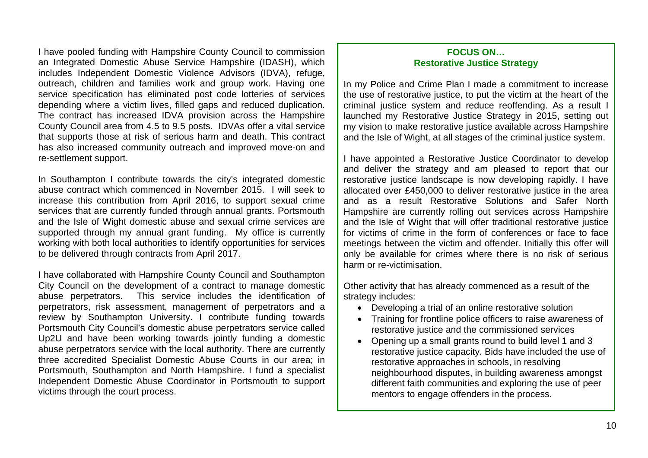I have pooled funding with Hampshire County Council to commission an Integrated Domestic Abuse Service Hampshire (IDASH), which includes Independent Domestic Violence Advisors (IDVA), refuge, outreach, children and families work and group work. Having one service specification has eliminated post code lotteries of services depending where a victim lives, filled gaps and reduced duplication. The contract has increased IDVA provision across the Hampshire County Council area from 4.5 to 9.5 posts. IDVAs offer a vital service that supports those at risk of serious harm and death. This contract has also increased community outreach and improved move-on and re-settlement support.

In Southampton I contribute towards the city's integrated domestic abuse contract which commenced in November 2015. I will seek to increase this contribution from April 2016, to support sexual crime services that are currently funded through annual grants. Portsmouth and the Isle of Wight domestic abuse and sexual crime services are supported through my annual grant funding. My office is currently working with both local authorities to identify opportunities for services to be delivered through contracts from April 2017.

I have collaborated with Hampshire County Council and Southampton City Council on the development of a contract to manage domestic abuse perpetrators. This service includes the identification of perpetrators, risk assessment, management of perpetrators and a review by Southampton University. I contribute funding towards Portsmouth City Council's domestic abuse perpetrators service called Up2U and have been working towards jointly funding a domestic abuse perpetrators service with the local authority. There are currently three accredited Specialist Domestic Abuse Courts in our area; in Portsmouth, Southampton and North Hampshire. I fund a specialist Independent Domestic Abuse Coordinator in Portsmouth to support victims through the court process.

#### **FOCUS ON… Restorative Justice Strategy**

In my Police and Crime Plan I made a commitment to increase the use of restorative justice, to put the victim at the heart of the criminal justice system and reduce reoffending. As a result I launched my Restorative Justice Strategy in 2015, setting out my vision to make restorative justice available across Hampshire and the Isle of Wight, at all stages of the criminal justice system.

I have appointed a Restorative Justice Coordinator to develop and deliver the strategy and am pleased to report that our restorative justice landscape is now developing rapidly. I have allocated over £450,000 to deliver restorative justice in the area and as a result Restorative Solutions and Safer North Hampshire are currently rolling out services across Hampshire and the Isle of Wight that will offer traditional restorative justice for victims of crime in the form of conferences or face to face meetings between the victim and offender. Initially this offer will only be available for crimes where there is no risk of serious harm or re-victimisation.

Other activity that has already commenced as a result of the strategy includes:

- Developing a trial of an online restorative solution
- Training for frontline police officers to raise awareness of restorative justice and the commissioned services
- Opening up a small grants round to build level 1 and 3 restorative justice capacity. Bids have included the use of restorative approaches in schools, in resolving neighbourhood disputes, in building awareness amongst different faith communities and exploring the use of peer mentors to engage offenders in the process.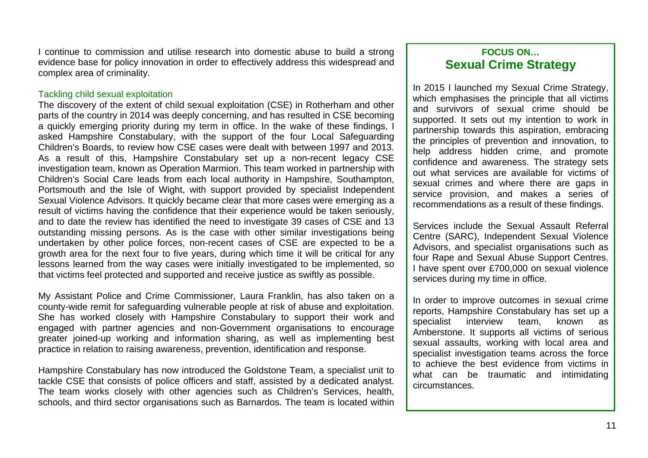I continue to commission and utilise research into domestic abuse to build a strong evidence base for policy innovation in order to effectively address this widespread and complex area of criminality.

#### Tackling child sexual exploitation

The discovery of the extent of child sexual exploitation (CSE) in Rotherham and other parts of the country in 2014 was deeply concerning, and has resulted in CSE becoming a quickly emerging priority during my term in office. In the wake of these findings, I asked Hampshire Constabulary, with the support of the four Local Safeguarding Children's Boards, to review how CSE cases were dealt with between 1997 and 2013. As a result of this, Hampshire Constabulary set up a non-recent legacy CSE investigation team, known as Operation Marmion. This team worked in partnership with Children's Social Care leads from each local authority in Hampshire, Southampton, Portsmouth and the Isle of Wight, with support provided by specialist Independent Sexual Violence Advisors. It quickly became clear that more cases were emerging as a result of victims having the confidence that their experience would be taken seriously, and to date the review has identified the need to investigate 39 cases of CSE and 13 outstanding missing persons. As is the case with other similar investigations being undertaken by other police forces, non-recent cases of CSE are expected to be a growth area for the next four to five years, during which time it will be critical for any lessons learned from the way cases were initially investigated to be implemented, so that victims feel protected and supported and receive justice as swiftly as possible.

My Assistant Police and Crime Commissioner, Laura Franklin, has also taken on a county-wide remit for safeguarding vulnerable people at risk of abuse and exploitation. She has worked closely with Hampshire Constabulary to support their work and engaged with partner agencies and non-Government organisations to encourage greater joined-up working and information sharing, as well as implementing best practice in relation to raising awareness, prevention, identification and response.

Hampshire Constabulary has now introduced the Goldstone Team, a specialist unit to tackle CSE that consists of police officers and staff, assisted by a dedicated analyst. The team works closely with other agencies such as Children's Services, health, schools, and third sector organisations such as Barnardos. The team is located within

### **FOCUS ON… Sexual Crime Strategy**

In 2015 I launched my Sexual Crime Strategy, which emphasises the principle that all victims and survivors of sexual crime should be supported. It sets out my intention to work in partnership towards this aspiration, embracing the principles of prevention and innovation, to help address hidden crime, and promote confidence and awareness. The strategy sets out what services are available for victims of sexual crimes and where there are gaps in service provision, and makes a series of recommendations as a result of these findings.

Services include the Sexual Assault Referral Centre (SARC), Independent Sexual Violence Advisors, and specialist organisations such as four Rape and Sexual Abuse Support Centres. I have spent over £700,000 on sexual violence services during my time in office.

In order to improve outcomes in sexual crime reports, Hampshire Constabulary has set up a specialist interview team, known as Amberstone. It supports all victims of serious sexual assaults, working with local area and specialist investigation teams across the force to achieve the best evidence from victims in what can be traumatic and intimidating circumstances.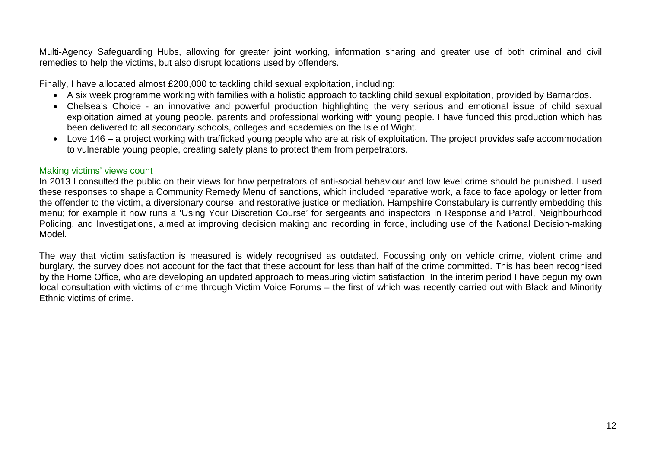Multi-Agency Safeguarding Hubs, allowing for greater joint working, information sharing and greater use of both criminal and civil remedies to help the victims, but also disrupt locations used by offenders.

Finally, I have allocated almost £200,000 to tackling child sexual exploitation, including:

- A six week programme working with families with a holistic approach to tackling child sexual exploitation, provided by Barnardos.
- Chelsea's Choice an innovative and powerful production highlighting the very serious and emotional issue of child sexual exploitation aimed at young people, parents and professional working with young people. I have funded this production which has been delivered to all secondary schools, colleges and academies on the Isle of Wight.
- Love 146 a project working with trafficked young people who are at risk of exploitation. The project provides safe accommodation to vulnerable young people, creating safety plans to protect them from perpetrators.

#### Making victims' views count

In 2013 I consulted the public on their views for how perpetrators of anti-social behaviour and low level crime should be punished. I used these responses to shape a Community Remedy Menu of sanctions, which included reparative work, a face to face apology or letter from the offender to the victim, a diversionary course, and restorative justice or mediation. Hampshire Constabulary is currently embedding this menu; for example it now runs a 'Using Your Discretion Course' for sergeants and inspectors in Response and Patrol, Neighbourhood Policing, and Investigations, aimed at improving decision making and recording in force, including use of the National Decision-making Model.

The way that victim satisfaction is measured is widely recognised as outdated. Focussing only on vehicle crime, violent crime and burglary, the survey does not account for the fact that these account for less than half of the crime committed. This has been recognised by the Home Office, who are developing an updated approach to measuring victim satisfaction. In the interim period I have begun my own local consultation with victims of crime through Victim Voice Forums – the first of which was recently carried out with Black and Minority Ethnic victims of crime.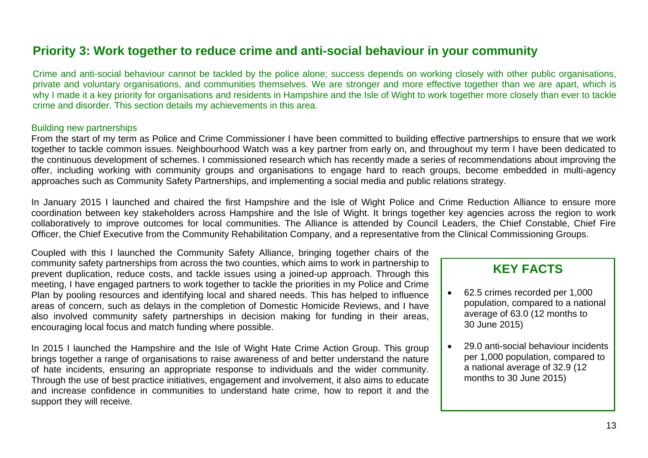# **Priority 3: Work together to reduce crime and anti-social behaviour in your community**

Crime and anti-social behaviour cannot be tackled by the police alone; success depends on working closely with other public organisations, private and voluntary organisations, and communities themselves. We are stronger and more effective together than we are apart, which is why I made it a key priority for organisations and residents in Hampshire and the Isle of Wight to work together more closely than ever to tackle crime and disorder. This section details my achievements in this area.

#### Building new partnerships

From the start of my term as Police and Crime Commissioner I have been committed to building effective partnerships to ensure that we work together to tackle common issues. Neighbourhood Watch was a key partner from early on, and throughout my term I have been dedicated to the continuous development of schemes. I commissioned research which has recently made a series of recommendations about improving the offer, including working with community groups and organisations to engage hard to reach groups, become embedded in multi-agency approaches such as Community Safety Partnerships, and implementing a social media and public relations strategy.

In January 2015 I launched and chaired the first Hampshire and the Isle of Wight Police and Crime Reduction Alliance to ensure more coordination between key stakeholders across Hampshire and the Isle of Wight. It brings together key agencies across the region to work collaboratively to improve outcomes for local communities. The Alliance is attended by Council Leaders, the Chief Constable, Chief Fire Officer, the Chief Executive from the Community Rehabilitation Company, and a representative from the Clinical Commissioning Groups.

Coupled with this I launched the Community Safety Alliance, bringing together chairs of the community safety partnerships from across the two counties, which aims to work in partnership to prevent duplication, reduce costs, and tackle issues using a joined-up approach. Through this meeting, I have engaged partners to work together to tackle the priorities in my Police and Crime Plan by pooling resources and identifying local and shared needs. This has helped to influence areas of concern, such as delays in the completion of Domestic Homicide Reviews, and I have also involved community safety partnerships in decision making for funding in their areas, encouraging local focus and match funding where possible.

In 2015 I launched the Hampshire and the Isle of Wight Hate Crime Action Group. This group brings together a range of organisations to raise awareness of and better understand the nature of hate incidents, ensuring an appropriate response to individuals and the wider community. Through the use of best practice initiatives, engagement and involvement, it also aims to educate and increase confidence in communities to understand hate crime, how to report it and the support they will receive.

- 62.5 crimes recorded per 1,000 population, compared to a national average of 63.0 (12 months to 30 June 2015)
- 29.0 anti-social behaviour incidents per 1,000 population, compared to a national average of 32.9 (12 months to 30 June 2015)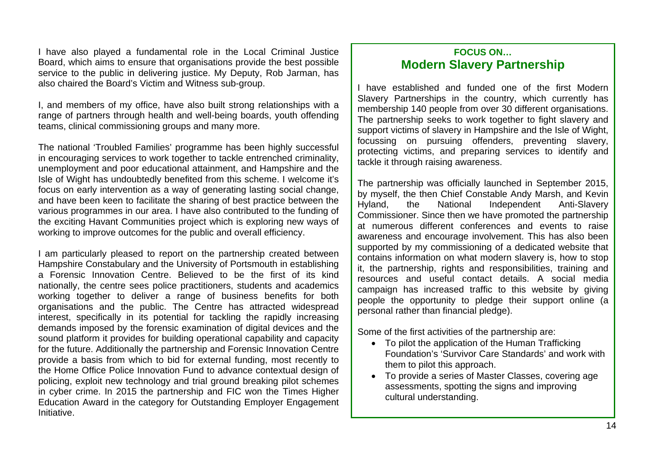I have also played a fundamental role in the Local Criminal Justice Board, which aims to ensure that organisations provide the best possible service to the public in delivering justice. My Deputy, Rob Jarman, has also chaired the Board's Victim and Witness sub-group.

I, and members of my office, have also built strong relationships with a range of partners through health and well-being boards, youth offending teams, clinical commissioning groups and many more.

The national 'Troubled Families' programme has been highly successful in encouraging services to work together to tackle entrenched criminality, unemployment and poor educational attainment, and Hampshire and the Isle of Wight has undoubtedly benefited from this scheme. I welcome it's focus on early intervention as a way of generating lasting social change, and have been keen to facilitate the sharing of best practice between the various programmes in our area. I have also contributed to the funding of the exciting Havant Communities project which is exploring new ways of working to improve outcomes for the public and overall efficiency.

Hampshire Constabulary and the University of Portsmouth in establishing I am particularly pleased to report on the partnership created between a Forensic Innovation Centre. Believed to be the first of its kind nationally, the centre sees police practitioners, students and academics working together to deliver a range of business benefits for both organisations and the public. The Centre has attracted widespread interest, specifically in its potential for tackling the rapidly increasing demands imposed by the forensic examination of digital devices and the sound platform it provides for building operational capability and capacity for the future. Additionally the partnership and Forensic Innovation Centre provide a basis from which to bid for external funding, most recently to the Home Office Police Innovation Fund to advance contextual design of policing, exploit new technology and trial ground breaking pilot schemes in cyber crime. In 2015 the partnership and FIC won the Times Higher Education Award in the category for Outstanding Employer Engagement Initiative.

### **FOCUS ON… Modern Slavery Partnership**

I have established and funded one of the first Modern Slavery Partnerships in the country, which currently has membership 140 people from over 30 different organisations. The partnership seeks to work together to fight slavery and support victims of slavery in Hampshire and the Isle of Wight, focussing on pursuing offenders, preventing slavery, protecting victims, and preparing services to identify and tackle it through raising awareness.

The partnership was officially launched in September 2015, by myself, the then Chief Constable Andy Marsh, and Kevin Hyland, the National Independent Anti-Slavery Commissioner. Since then we have promoted the partnership at numerous different conferences and events to raise awareness and encourage involvement. This has also been supported by my commissioning of a dedicated website that contains information on what modern slavery is, how to stop it, the partnership, rights and responsibilities, training and resources and useful contact details. A social media campaign has increased traffic to this website by giving people the opportunity to pledge their support online (a personal rather than financial pledge).

Some of the first activities of the partnership are:

- To pilot the application of the Human Trafficking Foundation's 'Survivor Care Standards' and work with them to pilot this approach.
- To provide a series of Master Classes, covering age assessments, spotting the signs and improving cultural understanding.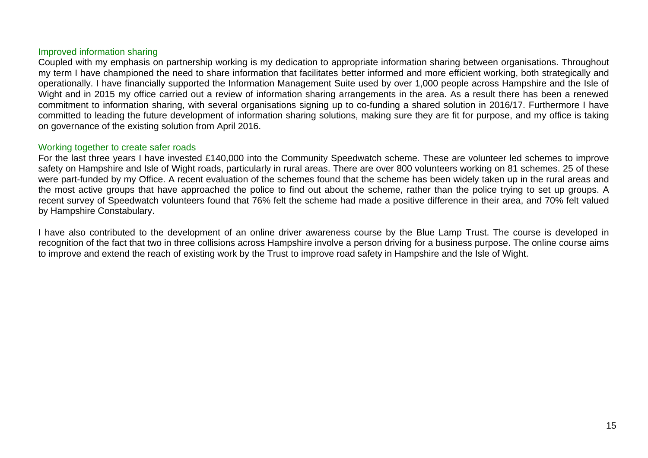#### Improved information sharing

Coupled with my emphasis on partnership working is my dedication to appropriate information sharing between organisations. Throughout my term I have championed the need to share information that facilitates better informed and more efficient working, both strategically and operationally. I have financially supported the Information Management Suite used by over 1,000 people across Hampshire and the Isle of Wight and in 2015 my office carried out a review of information sharing arrangements in the area. As a result there has been a renewed commitment to information sharing, with several organisations signing up to co-funding a shared solution in 2016/17. Furthermore I have committed to leading the future development of information sharing solutions, making sure they are fit for purpose, and my office is taking on governance of the existing solution from April 2016.

#### Working together to create safer roads

For the last three years I have invested £140,000 into the Community Speedwatch scheme. These are volunteer led schemes to improve safety on Hampshire and Isle of Wight roads, particularly in rural areas. There are over 800 volunteers working on 81 schemes. 25 of these were part-funded by my Office. A recent evaluation of the schemes found that the scheme has been widely taken up in the rural areas and the most active groups that have approached the police to find out about the scheme, rather than the police trying to set up groups. A recent survey of Speedwatch volunteers found that 76% felt the scheme had made a positive difference in their area, and 70% felt valued by Hampshire Constabulary.

I have also contributed to the development of an online driver awareness course by the Blue Lamp Trust. The course is developed in recognition of the fact that two in three collisions across Hampshire involve a person driving for a business purpose. The online course aims to improve and extend the reach of existing work by the Trust to improve road safety in Hampshire and the Isle of Wight.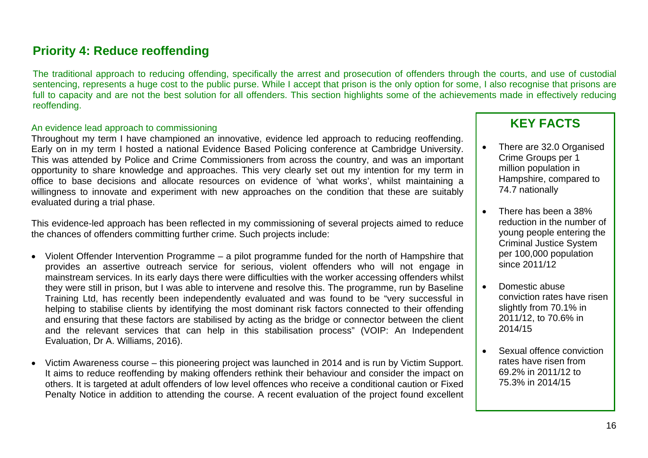# **Priority 4: Reduce reoffending**

The traditional approach to reducing offending, specifically the arrest and prosecution of offenders through the courts, and use of custodial sentencing, represents a huge cost to the public purse. While I accept that prison is the only option for some, I also recognise that prisons are full to capacity and are not the best solution for all offenders. This section highlights some of the achievements made in effectively reducing reoffending.

#### An evidence lead approach to commissioning

Throughout my term I have championed an innovative, evidence led approach to reducing reoffending. Early on in my term I hosted a national Evidence Based Policing conference at Cambridge University. This was attended by Police and Crime Commissioners from across the country, and was an important opportunity to share knowledge and approaches. This very clearly set out my intention for my term in office to base decisions and allocate resources on evidence of 'what works', whilst maintaining a willingness to innovate and experiment with new approaches on the condition that these are suitably evaluated during a trial phase.

This evidence-led approach has been reflected in my commissioning of several projects aimed to reduce the chances of offenders committing further crime. Such projects include:

- Violent Offender Intervention Programme a pilot programme funded for the north of Hampshire that provides an assertive outreach service for serious, violent offenders who will not engage in mainstream services. In its early days there were difficulties with the worker accessing offenders whilst they were still in prison, but I was able to intervene and resolve this. The programme, run by Baseline Training Ltd, has recently been independently evaluated and was found to be "very successful in helping to stabilise clients by identifying the most dominant risk factors connected to their offending and ensuring that these factors are stabilised by acting as the bridge or connector between the client and the relevant services that can help in this stabilisation process" (VOIP: An Independent Evaluation, Dr A. Williams, 2016).
- Victim Awareness course this pioneering project was launched in 2014 and is run by Victim Support. It aims to reduce reoffending by making offenders rethink their behaviour and consider the impact on others. It is targeted at adult offenders of low level offences who receive a conditional caution or Fixed Penalty Notice in addition to attending the course. A recent evaluation of the project found excellent

- There are 32.0 Organised Crime Groups per 1 million population in Hampshire, compared to 74.7 nationally
- There has been a 38% reduction in the number of young people entering the Criminal Justice System per 100,000 population since 2011/12
- Domestic abuse conviction rates have risen slightly from 70.1% in 2011/12, to 70.6% in 2014/15
- Sexual offence conviction rates have risen from 69.2% in 2011/12 to 75.3% in 2014/15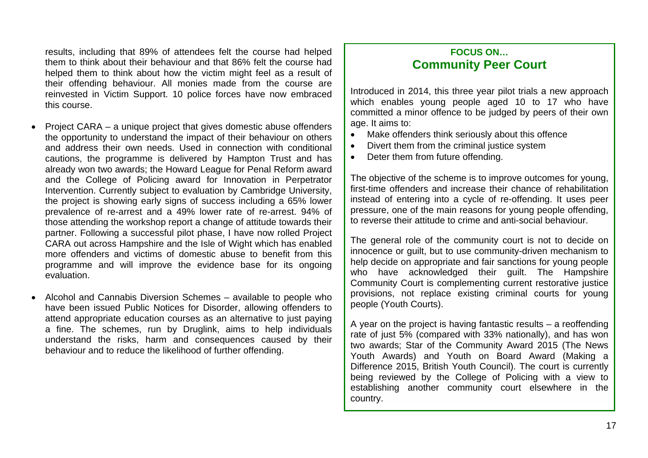results, including that 89% of attendees felt the course had helped them to think about their behaviour and that 86% felt the course had helped them to think about how the victim might feel as a result of their offending behaviour. All monies made from the course are reinvested in Victim Support. 10 police forces have now embraced this course.

- Project CARA a unique project that gives domestic abuse offenders the opportunity to understand the impact of their behaviour on others and address their own needs. Used in connection with conditional cautions, the programme is delivered by Hampton Trust and has already won two awards; the Howard League for Penal Reform award and the College of Policing award for Innovation in Perpetrator Intervention. Currently subject to evaluation by Cambridge University, the project is showing early signs of success including a 65% lower prevalence of re-arrest and a 49% lower rate of re-arrest. 94% of those attending the workshop report a change of attitude towards their partner. Following a successful pilot phase, I have now rolled Project CARA out across Hampshire and the Isle of Wight which has enabled more offenders and victims of domestic abuse to benefit from this programme and will improve the evidence base for its ongoing evaluation.
- Alcohol and Cannabis Diversion Schemes available to people who have been issued Public Notices for Disorder, allowing offenders to attend appropriate education courses as an alternative to just paying a fine. The schemes, run by Druglink, aims to help individuals understand the risks, harm and consequences caused by their behaviour and to reduce the likelihood of further offending.

### **FOCUS ON… Community Peer Court**

Introduced in 2014, this three year pilot trials a new approach which enables young people aged 10 to 17 who have committed a minor offence to be judged by peers of their own age. It aims to:

- Make offenders think seriously about this offence
- Divert them from the criminal justice system
- Deter them from future offending.

The objective of the scheme is to improve outcomes for young, first-time offenders and increase their chance of rehabilitation instead of entering into a cycle of re-offending. It uses peer pressure, one of the main reasons for young people offending, to reverse their attitude to crime and anti-social behaviour.

The general role of the community court is not to decide on innocence or guilt, but to use community-driven mechanism to help decide on appropriate and fair sanctions for young people who have acknowledged their guilt. The Hampshire Community Court is complementing current restorative justice provisions, not replace existing criminal courts for young people (Youth Courts).

A year on the project is having fantastic results – a reoffending rate of just 5% (compared with 33% nationally), and has won two awards; Star of the Community Award 2015 (The News Youth Awards) and Youth on Board Award (Making a Difference 2015, British Youth Council). The court is currently being reviewed by the College of Policing with a view to establishing another community court elsewhere in the country.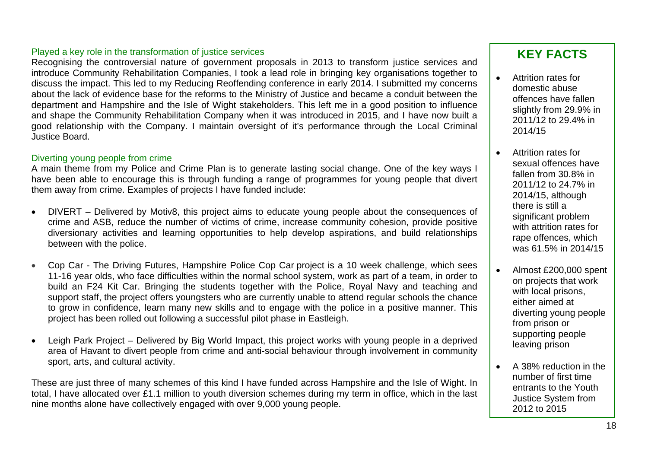#### Played a key role in the transformation of justice services

Recognising the controversial nature of government proposals in 2013 to transform justice services and introduce Community Rehabilitation Companies, I took a lead role in bringing key organisations together to discuss the impact. This led to my Reducing Reoffending conference in early 2014. I submitted my concerns about the lack of evidence base for the reforms to the Ministry of Justice and became a conduit between the department and Hampshire and the Isle of Wight stakeholders. This left me in a good position to influence and shape the Community Rehabilitation Company when it was introduced in 2015, and I have now built a good relationship with the Company. I maintain oversight of it's performance through the Local Criminal Justice Board.

#### Diverting young people from crime

A main theme from my Police and Crime Plan is to generate lasting soci al change. One of the key ways I have been able to encourage this is through funding a range of programmes for young people that divert them away from crime. Examples of projects I have funded include:

- DIVERT Delivered by Motiv8, this project aims to educate young people about the consequences of crime and ASB, reduce the number of victims of crime, increase community cohesion, provide positive diversionary activities and learning opportunities to help develop aspirations, and build relationships between with the police.
- • Cop Car - The Driving Futures, Hampshire Police Cop Car project is a 10 week challenge, which sees 11-16 year olds, who face difficulties within the normal school system, work as part of a team, in order to build an F24 Kit Car. Bringing the students together with the Police, Royal Navy and teaching and support staff, the project offers youngsters who are currently unable to attend regular schools the chance to grow in confidence, learn many new skills and to engage with the police in a positive manner. This project has been rolled out following a successful pilot phase in Eastleigh.
- Leigh Park Project Delivered by Big World Impact, this project works with young people in a deprived leaving prison area of Havant to divert people from crime and anti-social behaviour through involvement in community sport, arts, and cultural activity.

These are just three of many schemes of this kind I have funded across Hampshire and the Isle of Wight. In total, I have allocated over £1.1 million to youth diversion schemes during my term in office, which in the last nine months alone have collectively engaged with over 9,000 young people.

- Attrition rates for domestic abuse offences have fallen slightly from 29.9% in 2011/12 to 29.4% in 2014/15
- Attrition rates for sexual offences have fallen from 30.8% in 2011/12 to 24.7% in 2014/15, although there is still a significant problem with attrition rates for rape offences, which was 61.5% in 2014/15
- Almost £200,000 spent on projects that work with local prisons, either aimed at diverting young people from prison or supporting people
- number of first time entrants to the Youth Justice System from 2012 to 2015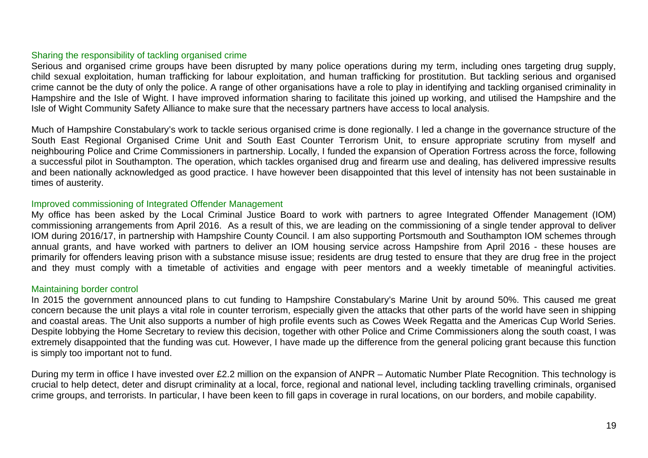#### Sharing the responsibility of tackling organised crime

Serious and organised crime groups have been disrupted by many police operations during my term, including ones targeting drug supply, child sexual exploitation, human trafficking for labour exploitation, and human trafficking for prostitution. But tackling serious and organised crime cannot be the duty of only the police. A range of other organisations have a role to play in identifying and tackling organised criminality in Hampshire and the Isle of Wight. I have improved information sharing to facilitate this joined up working, and utilised the Hampshire and the Isle of Wight Community Safety Alliance to make sure that the necessary partners have access to local analysis.

Much of Hampshire Constabulary's work to tackle serious organised crime is done regionally. I led a change in the governance structure of the South East Regional Organised Crime Unit and South East Counter Terrorism Unit, to ensure appropriate scrutiny from myself and neighbouring Police and Crime Commissioners in partnership. Locally, I funded the expansion of Operation Fortress across the force, following a successful pilot in Southampton. The operation, which tackles organised drug and firearm use and dealing, has delivered impressive results and been nationally acknowledged as good practice. I have however been disappointed that this level of intensity has not been sustainable in times of austerity.

#### Improved commissioning of Integrated Offender Management

My office has been asked by the Local Criminal Justice Board to work with partners to agree Integrated Offender Management (IOM) commissioning arrangements from April 2016. As a result of this, we are leading on the commissioning of a single tender approval to deliver IOM during 2016/17, in partnership with Hampshire County Council. I am also supporting Portsmouth and Southampton IOM schemes through annual grants, and have worked with partners to deliver an IOM housing service across Hampshire from April 2016 - these houses are primarily for offenders leaving prison with a substance misuse issue; residents are drug tested to ensure that they are drug free in the project and they must comply with a timetable of activities and engage with peer mentors and a weekly timetable of meaningful activities.

#### Maintaining border control

In 2015 the government announced plans to cut funding to Hampshire Constabulary's Marine Unit by around 50%. This caused me great concern because the unit plays a vital role in counter terrorism, especially given the attacks that other parts of the world have seen in shipping and coastal areas. The Unit also supports a number of high profile events such as Cowes Week Regatta and the Americas Cup World Series. Despite lobbying the Home Secretary to review this decision, together with other Police and Crime Commissioners along the south coast, I was extremely disappointed that the funding was cut. However, I have made up the difference from the general policing grant because this function is simply too important not to fund.

During my term in office I have invested over £2.2 million on the expansion of ANPR – Automatic Number Plate Recognition. This technology is crucial to help detect, deter and disrupt criminality at a local, force, regional and national level, including tackling travelling criminals, organised crime groups, and terrorists. In particular, I have been keen to fill gaps in coverage in rural locations, on our borders, and mobile capability.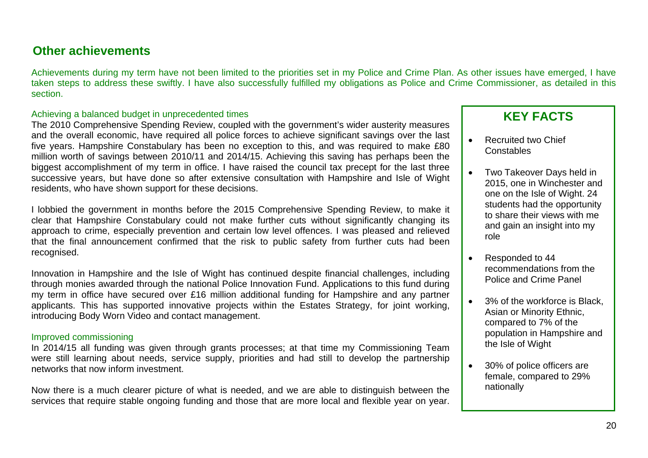# **Other achievements**

Achievements during my term have not been limited to the priorities set in my Police and Crime Plan. As other issues have emerged, I have taken steps to address these swiftly. I have also successfully fulfilled my obligations as Police and Crime Commissioner, as detailed in this section.

#### Achieving a balanced budget in unprecedented times

The 2010 Comprehensive Spending Review, coupled with the government's wider austerity measures and the overall economic, have required all police forces to achieve significant savings over the last five years. Hampshire Constabulary has been no exception to this, and was required to make £80 million worth of savings between 2010/11 and 2014/15. Achieving this saving has perhaps been the biggest accomplishment of my term in office. I have raised the council tax precept for the last three successive years, but have done so after extensive consultation with Hampshire and Isle of Wight residents, who have shown support for these decisions.

I lobbied the government in months before the 2015 Comprehensive Spending Review, to make it clear that Hampshire Constabulary could not make further cuts without significantly changing its approach to crime, especially prevention and certain low level offences. I was pleased and relieved that the final announcement confirmed that the risk to public safety from further cuts had been recognised.

Innovation in Hampshire and the Isle of Wight has continued despite financial challenges, including through monies awarded through the national Police Innovation Fund. Applications to this fund during my term in office have secured over £16 million additional funding for Hampshire and any partner applicants. This has supported innovative projects within the Estates Strategy, for joint working, introducing Body Worn Video and contact management.

#### Improved commissioning

In 2014/15 all funding was given through grants processes; at that time my Commissioning Team were still learning about needs, service supply, priorities and had still to develop the partnership networks that now inform investment.

Now there is a much clearer picture of what is needed, and we are able to distinguish between the services that require stable ongoing funding and those that are more local and flexible year on year.

- Recruited two Chief **Constables**
- Two Takeover Days held in 2015, one in Winchester and one on the Isle of Wight. 24 students had the opportunity to share their views with me and gain an insight into my role
- Responded to 44 recommendations from the Police and Crime Panel
- 3% of the workforce is Black. Asian or Minority Ethnic, compared to 7% of the population in Hampshire and the Isle of Wight
- 30% of police officers are female, compared to 29% nationally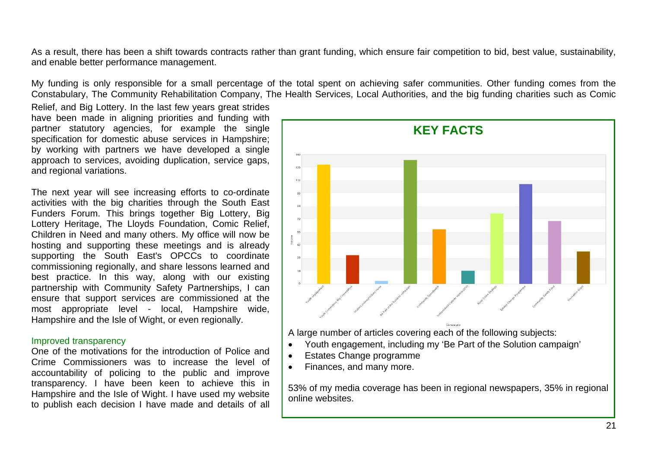As a result, there has been a shift towards contracts rather than grant funding, which ensure fair competition to bid, best value, sustainability, and enable better performance management.

My funding is only responsible for a small percentage of the total spent on achieving safer communities. Other funding comes from the Constabulary, The Community Rehabilitation Company, The Health Services, Local Authorities, and the big funding charities such as Comic

Relief, and Big Lottery. In the last few years great strides have been made in aligning priorities and funding with partner statutory agencies, for example the single specification for domestic abuse services in Hampshire; by working with partners we have developed a single approach to services, avoiding duplication, service gaps, and regional variations.

The next year will see increasing efforts to co-ordinate activities with the big charities through the South East Funders Forum. This brings together Big Lottery, Big Lottery Heritage, The Lloyds Foundation, Comic Relief, Children in Need and many others. My office will now be hosting and supporting these meetings and is already supporting the South East's OPCCs to coordinate commissioning regionally, and share lessons learned and best practice. In this way, along with our existing partnership with Community Safety Partnerships, I can ensure that support services are commissioned at the most appropriate level - local, Hampshire wide, Hampshire and the Isle of Wight, or even regionally.

#### Improved transparency

One of the motivations for the introduction of Police and Crime Commissioners was to increase the level of accountability of policing to the public and improve transparency. I have been keen to achieve this in Hampshire and the Isle of Wight. I have used my website to publish each decision I have made and details of all



53% of my media coverage has been in regional newspapers, 35% in regional online websites.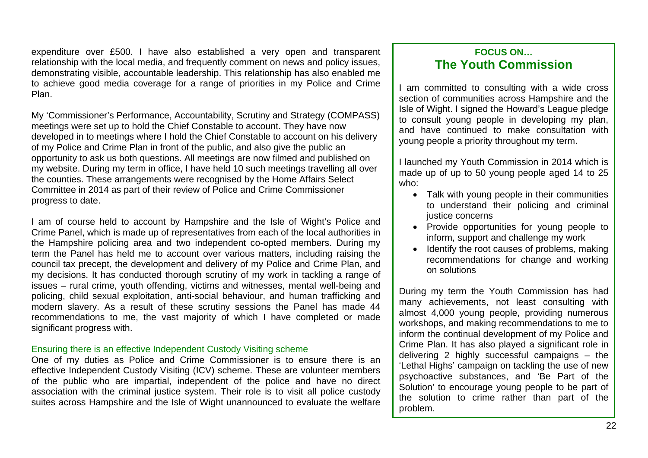expenditure over £500. I have also established a very open and transparent relationship with the local media, and frequently comment on news and policy issues, demonstrating visible, accountable leadership. This relationship has also enabled me to achieve good media coverage for a range of priorities in my Police and Crime Plan.

My 'Commissioner's Performance, Accountability, Scrutiny and Strategy (COMPASS) meetings were set up to hold the Chief Constable to account. They have now developed in to meetings where I hold the Chief Constable to account on his delivery of my Police and Crime Plan in front of the public, and also give the public an opportunity to ask us both questions. All meetings are now filmed and published on my website. During my term in office, I have held 10 such meetings travelling all over the counties. These arrangements were recognised by the Home Affairs Select Committee in 2014 as part of their review of Police and Crime Commissioner progress to date.

I am of course held to account by Hampshire and the Isle of Wight's Police and Crime Panel, which is made up of representatives from each of the local authorities in the Hampshire policing area and two independent co-opted members. During my term the Panel has held me to account over various matters, including raising the council tax precept, the development and delivery of my Police and Crime Plan, and my decisions. It has conducted thorough scrutiny of my work in tackling a range of issues – rural crime, youth offending, victims and witnesses, mental well-being and policing, child sexual exploitation, anti-social behaviour, and human trafficking and modern slavery. As a result of these scrutiny sessions the Panel has made 44 recommendations to me, the vast majority of which I have completed or made significant progress with.

#### Ensuring there is an effective Independent Custody Visiting scheme

One of my duties as Police and Crime Commissioner is to ensure there is an effective Independent Custody Visiting (ICV) scheme. These are volunteer members of the public who are impartial, independent of the police and have no direct association with the criminal justice system. Their role is to visit all police custody suites across Hampshire and the Isle of Wight unannounced to evaluate the welfare

### **FOCUS ON… The Youth Commission**

I am committed to consulting with a wide cross section of communities across Hampshire and the Isle of Wight. I signed the Howard's League pledge to consult young people in developing my plan, and have continued to make consultation with young people a priority throughout my term.

I launched my Youth Commission in 2014 which is made up of up to 50 young people aged 14 to 25 who:

- Talk with young people in their communities to understand their policing and criminal justice concerns
- Provide opportunities for young people to inform, support and challenge my work
- Identify the root causes of problems, making recommendations for change and working on solutions

During my term the Youth Commission has had many achievements, not least consulting with almost 4,000 young people, providing numerous workshops, and making recommendations to me to inform the continual development of my Police and Crime Plan. It has also played a significant role in delivering 2 highly successful campaigns – the 'Lethal Highs' campaign on tackling the use of new psychoactive substances, and 'Be Part of the Solution' to encourage young people to be part of the solution to crime rather than part of the problem.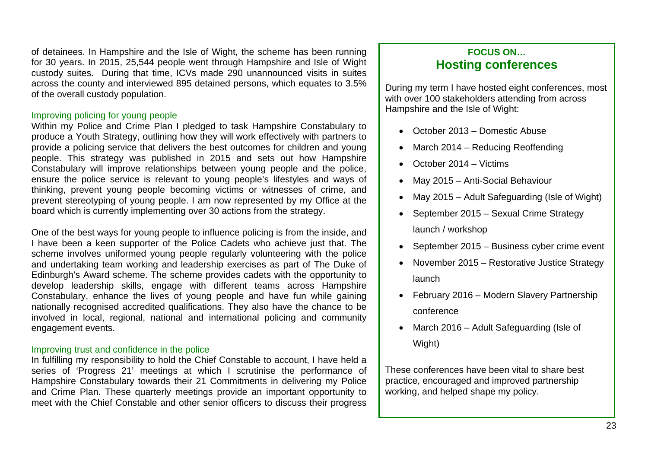of detainees. In Hampshire and the Isle of Wight, the scheme has been running for 30 years. In 2015, 25,544 people went through Hampshire and Isle of Wight custody suites. During that time, ICVs made 290 unannounced visits in suites across the county and interviewed 895 detained persons, which equates to 3.5% of the overall custody population.

#### Improving policing for young people

Within my Police and Crime Plan I pledged to task Hampshire Constabulary to produce a Youth Strategy, outlining how they will work effectively with partners to provide a policing service that delivers the best outcomes for children and young people. This strategy was published in 2015 and sets out how Hampshire Constabulary will improve relationships between young people and the police, ensure the police service is relevant to young people's lifestyles and ways of thinking, prevent young people becoming victims or witnesses of crime, and prevent stereotyping of young people. I am now represented by my Office at the board which is currently implementing over 30 actions from the strategy.

One of the best ways for young people to influence policing is from the inside, and I have been a keen supporter of the Police Cadets who achieve just that. The scheme involves uniformed young people regularly volunteering with the police and undertaking team working and leadership exercises as part of The Duke of Edinburgh's Award scheme. The scheme provides cadets with the opportunity to develop leadership skills, engage with different teams across Hampshire Constabulary, enhance the lives of young people and have fun while gaining nationally recognised accredited qualifications. They also have the chance to be involved in local, regional, national and international policing and community engagement events.

#### Improving trust and confidence in the police

In fulfilling my responsibility to hold the Chief Constable to account, I have held a series of 'Progress 21' meetings at which I scrutinise the performance of Hampshire Constabulary towards their 21 Commitments in delivering my Police and Crime Plan. These quarterly meetings provide an important opportunity to meet with the Chief Constable and other senior officers to discuss their progress

### **FOCUS ON… Hosting conferences**

During my term I have hosted eight conferences, most with over 100 stakeholders attending from across Hampshire and the Isle of Wight:

- October 2013 Domestic Abuse
- March 2014 Reducing Reoffending
- October 2014 Victims
- May 2015 Anti-Social Behaviour
- May 2015 Adult Safeguarding (Isle of Wight)
- September 2015 Sexual Crime Strategy launch / workshop
- September 2015 Business cyber crime event
- November 2015 Restorative Justice Strategy launch
- February 2016 Modern Slavery Partnership conference
- March 2016 Adult Safeguarding (Isle of Wight)

These conferences have been vital to share best practice, encouraged and improved partnership working, and helped shape my policy.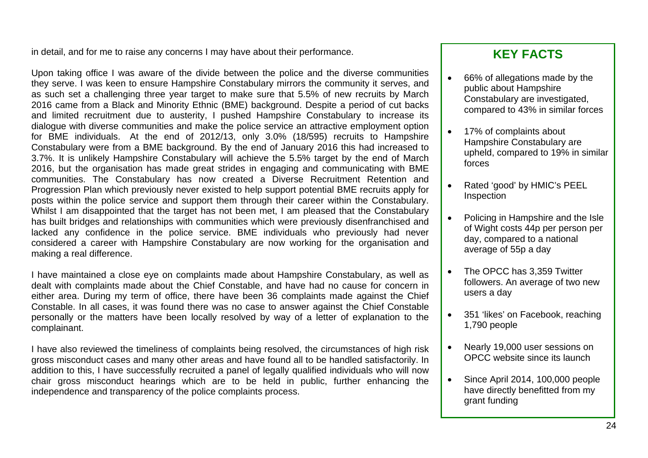in detail, and for me to raise any concerns I may have about their performance.

Upon taking office I was aware of the divide between the police and the diverse communities they serve. I was keen to ensure Hampshire Constabulary mirrors the community it serves, and as such set a challenging three year target to make sure that 5.5% of new recruits by March 2016 came from a Black and Minority Ethnic (BME) background. Despite a period of cut backs and limited recruitment due to austerity, I pushed Hampshire Constabulary to increase its dialogue with diverse communities and make the police service an attractive employment option for BME individuals. At the end of 2012/13, only 3.0% (18/595) recruits to Hampshire Constabulary were from a BME background. By the end of January 2016 this had increased to 3.7%. It is unlikely Hampshire Constabulary will achieve the 5.5% target by the end of March 2016, but the organisation has made great strides in engaging and communicating with BME communities. The Constabulary has now created a Diverse Recruitment Retention and Progression Plan which previously never existed to help support potential BME recruits apply for posts within the police service and support them through their career within the Constabulary. Whilst I am disappointed that the target has not been met, I am pleased that the Constabulary has built bridges and relationships with communities which were previously disenfranchised and lacked any confidence in the police service. BME individuals who previously had never considered a career with Hampshire Constabulary are now working for the organisation and making a real difference.

I have maintained a close eye on complaints made about Hampshire Constabulary, as well as dealt with complaints made about the Chief Constable, and have had no cause for concern in either area. During my term of office, there have been 36 complaints made against the Chief Constable. In all cases, it was found there was no case to answer against the Chief Constable personally or the matters have been locally resolved by way of a letter of explanation to the complainant.

I have also reviewed the timeliness of complaints being resolved, the circumstances of high risk gross misconduct cases and many other areas and have found all to be handled satisfactorily. In addition to this, I have successfully recruited a panel of legally qualified individuals who will now chair gross misconduct hearings which are to be held in public, further enhancing the independence and transparency of the police complaints process.

- 66% of allegations made by the public about Hampshire Constabulary are investigated, compared to 43% in similar forces
- 17% of complaints about Hampshire Constabulary are upheld, compared to 19% in similar forces
- Rated 'good' by HMIC's PEEL Inspection
- Policing in Hampshire and the Isle of Wight costs 44p per person per day, compared to a national average of 55p a day
- The OPCC has 3.359 Twitter followers. An average of two new users a day
- 351 'likes' on Facebook, reaching 1,790 people
- Nearly 19,000 user sessions on OPCC website since its launch
- Since April 2014, 100,000 people have directly benefitted from my grant funding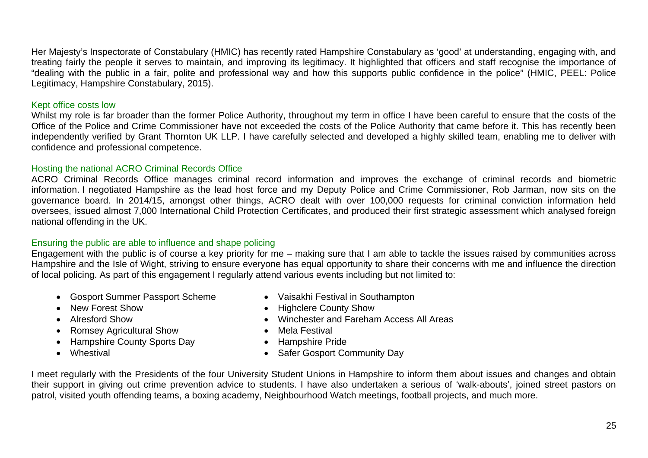Her Majesty's Inspectorate of Constabulary (HMIC) has recently rated Hampshire Constabulary as 'good' at understanding, engaging with, and treating fairly the people it serves to maintain, and improving its legitimacy. It highlighted that officers and staff recognise the importance of "dealing with the public in a fair, polite and professional way and how this supports public confidence in the police" (HMIC, PEEL: Police Legitimacy, Hampshire Constabulary, 2015).

#### Kept office costs low

Whilst my role is far broader than the former Police Authority, throughout my term in office I have been careful to ensure that the costs of the Office of the Police and Crime Commissioner have not exceeded the costs of the Police Authority that came before it. This has recently been independently verified by Grant Thornton UK LLP. I have carefully selected and developed a highly skilled team, enabling me to deliver with confidence and professional competence.

#### Hosting the national ACRO Criminal Records Office

ACRO Criminal Records Office manages criminal record information and improves the exchange of criminal records and biometric information. I negotiated Hampshire as the lead host force and my Deputy Police and Crime Commissioner, Rob Jarman, now sits on the governance board. In 2014/15, amongst other things, ACRO dealt with over 100,000 requests for criminal conviction information held oversees, issued almost 7,000 International Child Protection Certificates, and produced their first strategic assessment which analysed foreign national offending in the UK.

#### Ensuring the public are able to influence and shape policing

Engagement with the public is of course a key priority for me – making sure that I am able to tackle the issues raised by communities across Hampshire and the Isle of Wight, striving to ensure everyone has equal opportunity to share their concerns with me and influence the direction of local policing. As part of this engagement I regularly attend various events including but not limited to:

- Gosport Summer Passport Scheme Vaisakhi Festival in Southampton
	-
- 
- 
- Romsey Agricultural Show Mela Festival
- Hampshire County Sports Day Hampshire Pride
- 
- 
- New Forest Show  **Highclere County Show**
- Alresford Show Winchester and Fareham Access All Areas
	-
	-
- Whestival Whestival Safer Gosport Community Day

I meet regularly with the Presidents of the four University Student Unions in Hampshire to inform them about issues and changes and obtain their support in giving out crime prevention advice to students. I have also undertaken a serious of 'walk-abouts', joined street pastors on patrol, visited youth offending teams, a boxing academy, Neighbourhood Watch meetings, football projects, and much more.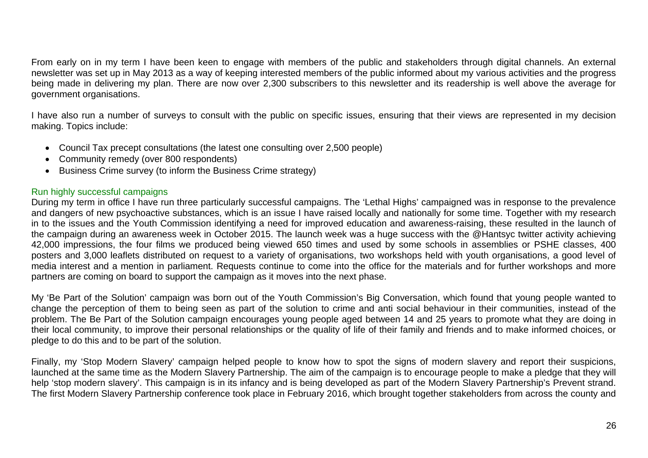From early on in my term I have been keen to engage with members of the public and stakeholders through digital channels. An external newsletter was set up in May 2013 as a way of keeping interested members of the public informed about my various activities and the progress being made in delivering my plan. There are now over 2,300 subscribers to this newsletter and its readership is well above the average for government organisations.

I have also run a number of surveys to consult with the public on specific issues, ensuring that their views are represented in my decision making. Topics include:

- Council Tax precept consultations (the latest one consulting over 2,500 people)
- Community remedy (over 800 respondents)
- Business Crime survey (to inform the Business Crime strategy)

#### Run highly successful campaigns

During my term in office I have run three particularly successful campaigns. The 'Lethal Highs' campaigned was in response to the prevalence and dangers of new psychoactive substances, which is an issue I have raised locally and nationally for some time. Together with my research in to the issues and the Youth Commission identifying a need for improved education and awareness-raising, these resulted in the launch of the campaign during an awareness week in October 2015. The launch week was a huge success with the @Hantsyc twitter activity achieving 42,000 impressions, the four films we produced being viewed 650 times and used by some schools in assemblies or PSHE classes, 400 posters and 3,000 leaflets distributed on request to a variety of organisations, two workshops held with youth organisations, a good level of media interest and a mention in parliament. Requests continue to come into the office for the materials and for further workshops and more partners are coming on board to support the campaign as it moves into the next phase.

My 'Be Part of the Solution' campaign was born out of the Youth Commission's Big Conversation, which found that young people wanted to change the perception of them to being seen as part of the solution to crime and anti social behaviour in their communities, instead of the problem. The Be Part of the Solution campaign encourages young people aged between 14 and 25 years to promote what they are doing in their local community, to improve their personal relationships or the quality of life of their family and friends and to make informed choices, or pledge to do this and to be part of the solution.

Finally, my 'Stop Modern Slavery' campaign helped people to know how to spot the signs of modern slavery and report their suspicions, launched at the same time as the Modern Slavery Partnership. The aim of the campaign is to encourage people to make a pledge that they will help 'stop modern slavery'. This campaign is in its infancy and is being developed as part of the Modern Slavery Partnership's Prevent strand. The first Modern Slavery Partnership conference took place in February 2016, which brought together stakeholders from across the county and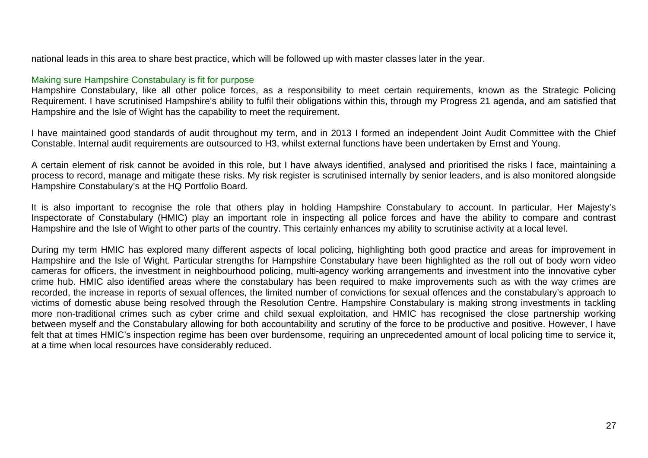national leads in this area to share best practice, which will be followed up with master classes later in the year.

#### Making sure Hampshire Constabulary is fit for purpose

Hampshire Constabulary, like all other police forces, as a responsibility to meet certain requirements, known as the Strategic Policing Requirement. I have scrutinised Hampshire's ability to fulfil their obligations within this, through my Progress 21 agenda, and am satisfied that Hampshire and the Isle of Wight has the capability to meet the requirement.

I have maintained good standards of audit throughout my term, and in 2013 I formed an independent Joint Audit Committee with the Chief Constable. Internal audit requirements are outsourced to H3, whilst external functions have been undertaken by Ernst and Young.

A certain element of risk cannot be avoided in this role, but I have always identified, analysed and prioritised the risks I face, maintaining a process to record, manage and mitigate these risks. My risk register is scrutinised internally by senior leaders, and is also monitored alongside Hampshire Constabulary's at the HQ Portfolio Board.

It is also important to recognise the role that others play in holding Hampshire Constabulary to account. In particular, Her Majesty's Inspectorate of Constabulary (HMIC) play an important role in inspecting all police forces and have the ability to compare and contrast Hampshire and the Isle of Wight to other parts of the country. This certainly enhances my ability to scrutinise activity at a local level.

During my term HMIC has explored many different aspects of local policing, highlighting both good practice and areas for improvement in Hampshire and the Isle of Wight. Particular strengths for Hampshire Constabulary have been highlighted as the roll out of body worn video cameras for officers, the investment in neighbourhood policing, multi-agency working arrangements and investment into the innovative cyber crime hub. HMIC also identified areas where the constabulary has been required to make improvements such as with the way crimes are recorded, the increase in reports of sexual offences, the limited number of convictions for sexual offences and the constabulary's approach to victims of domestic abuse being resolved through the Resolution Centre. Hampshire Constabulary is making strong investments in tackling more non-traditional crimes such as cyber crime and child sexual exploitation, and HMIC has recognised the close partnership working between myself and the Constabulary allowing for both accountability and scrutiny of the force to be productive and positive. However, I have felt that at times HMIC's inspection regime has been over burdensome, requiring an unprecedented amount of local policing time to service it, at a time when local resources have considerably reduced.